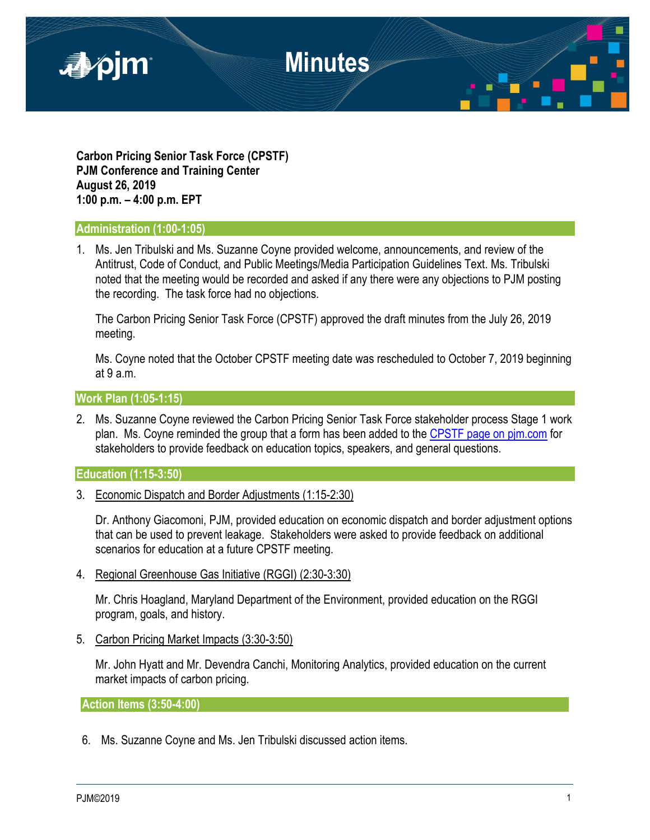

**Carbon Pricing Senior Task Force (CPSTF) PJM Conference and Training Center August 26, 2019 1:00 p.m. – 4:00 p.m. EPT**

#### **Administration (1:00-1:05)**

1. Ms. Jen Tribulski and Ms. Suzanne Coyne provided welcome, announcements, and review of the Antitrust, Code of Conduct, and Public Meetings/Media Participation Guidelines Text. Ms. Tribulski noted that the meeting would be recorded and asked if any there were any objections to PJM posting the recording. The task force had no objections.

The Carbon Pricing Senior Task Force (CPSTF) approved the draft minutes from the July 26, 2019 meeting.

Ms. Coyne noted that the October CPSTF meeting date was rescheduled to October 7, 2019 beginning at 9 a.m.

### **Work Plan (1:05-1:15)**

2. Ms. Suzanne Coyne reviewed the Carbon Pricing Senior Task Force stakeholder process Stage 1 work plan. Ms. Coyne reminded the group that a form has been added to the [CPSTF page on pjm.com](https://www.pjm.com/committees-and-groups/task-forces/cpstf.aspx) for stakeholders to provide feedback on education topics, speakers, and general questions.

#### **Education (1:15-3:50)**

3. Economic Dispatch and Border Adjustments (1:15-2:30)

Dr. Anthony Giacomoni, PJM, provided education on economic dispatch and border adjustment options that can be used to prevent leakage. Stakeholders were asked to provide feedback on additional scenarios for education at a future CPSTF meeting.

4. Regional Greenhouse Gas Initiative (RGGI) (2:30-3:30)

Mr. Chris Hoagland, Maryland Department of the Environment, provided education on the RGGI program, goals, and history.

5. Carbon Pricing Market Impacts (3:30-3:50)

Mr. John Hyatt and Mr. Devendra Canchi, Monitoring Analytics, provided education on the current market impacts of carbon pricing.

**Action Items (3:50-4:00)**

6. Ms. Suzanne Coyne and Ms. Jen Tribulski discussed action items.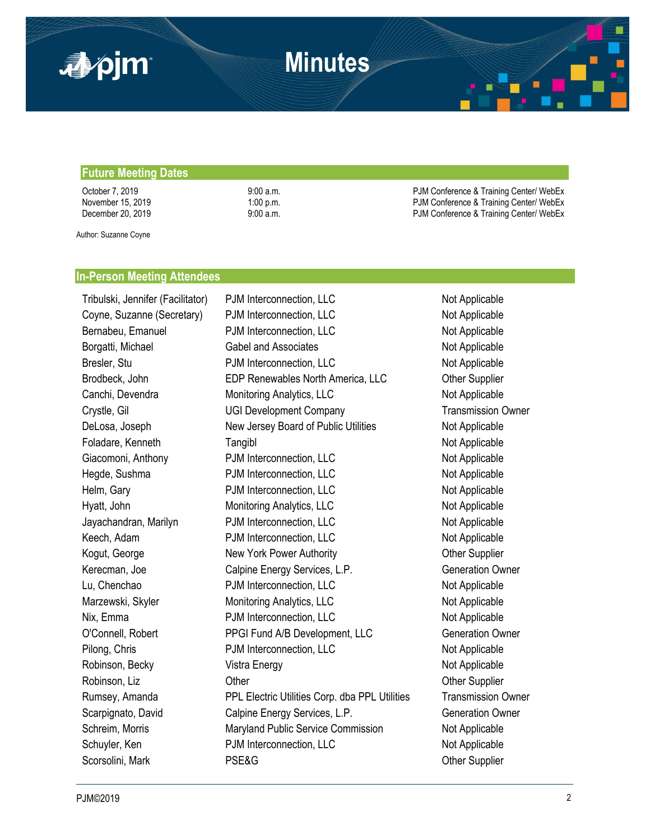

#### **Future Meeting Dates**

October 7, 2019 **9:00 a.m.** 9:00 a.m. PJM Conference & Training Center/ WebEx November 15, 2019 1:00 p.m. 1:00 p.m. PJM Conference & Training Center/ WebEx December 20, 2019 **9:00 a.m.** 9:00 a.m. PJM Conference & Training Center/ WebEx

Author: Suzanne Coyne

#### **In-Person Meeting Attendees**

Tribulski, Jennifer (Facilitator) PJM Interconnection, LLC Not Applicable Coyne, Suzanne (Secretary) PJM Interconnection, LLC Not Applicable Bernabeu, Emanuel **PJM Interconnection, LLC** Not Applicable Borgatti, Michael **Gabel and Associates** Controller and Associates Not Applicable Bresler, Stu **PJM Interconnection, LLC** Not Applicable Brodbeck, John **EDP Renewables North America, LLC** Other Supplier Canchi, Devendra **Monitoring Analytics, LLC** Not Applicable Crystle, Gil UGI Development Company Transmission Owner DeLosa, Joseph New Jersey Board of Public Utilities Not Applicable Foladare, Kenneth **Tangibl** Tangibl Not Applicable Giacomoni, Anthony **PJM Interconnection, LLC** Not Applicable Hegde, Sushma **PJM Interconnection, LLC** Not Applicable Helm, Gary **PJM Interconnection, LLC** Not Applicable Hyatt, John **Monitoring Analytics, LLC** Not Applicable Not Applicable Jayachandran, Marilyn **PJM Interconnection, LLC** Not Applicable Keech, Adam **PJM Interconnection, LLC** Not Applicable Kogut, George **New York Power Authority New York Power Authority** Cher Supplier Kerecman, Joe **Calpine Energy Services, L.P.** Generation Owner Lu, Chenchao **PJM Interconnection, LLC** Not Applicable Marzewski, Skyler **Monitoring Analytics, LLC** Not Applicable Nix, Emma **PJM Interconnection, LLC** Not Applicable O'Connell, Robert PPGI Fund A/B Development, LLC Generation Owner Pilong, Chris **PJM Interconnection, LLC** Not Applicable Robinson, Becky **Not Applicable** Vistra Energy Not Applicable Not Applicable Robinson, Liz **C**ther Other Content Content Content Content Content Content Content Content Content Content Content Content Content Content Content Content Content Content Content Content Content Content Content Content Co Rumsey, Amanda PPL Electric Utilities Corp. dba PPL Utilities Transmission Owner Scarpignato, David Calpine Energy Services, L.P. Generation Owner Schreim, Morris **Maryland Public Service Commission** Not Applicable Schuyler, Ken **PJM Interconnection, LLC** Not Applicable Scorsolini, Mark **PSE&G** Other Supplier Constants Applier Supplier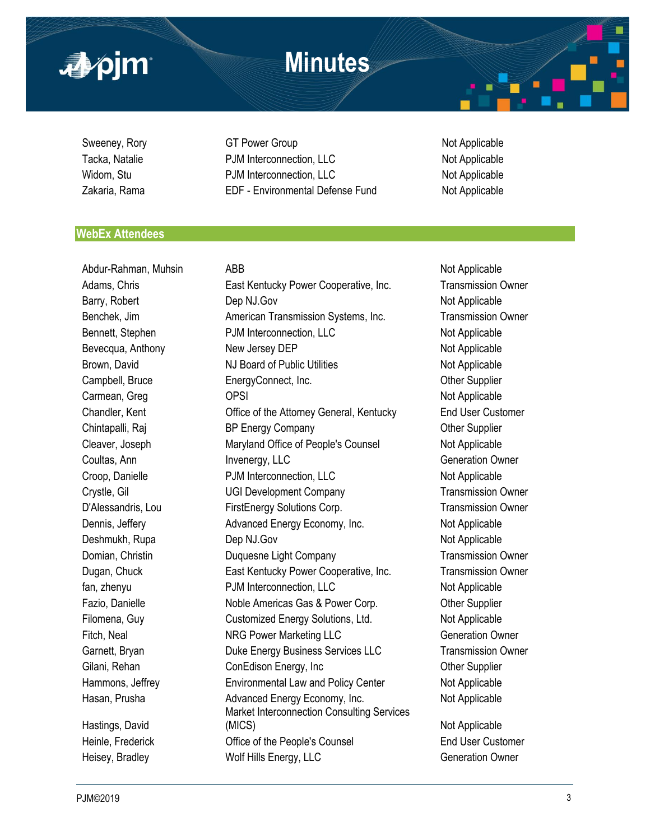

Sweeney, Rory **GT Power Group** GT Power Group Not Applicable Tacka, Natalie **Natalie 19th Connection, CLC** Not Applicable Not Applicable Widom, Stu **PJM Interconnection, LLC** Not Applicable Zakaria, Rama EDF - Environmental Defense Fund Not Applicable

### **WebEx Attendees**

Abdur-Rahman, Muhsin ABB Abdur-Rahman, Muhsin ABB Abdur-Rahman, Muhsin ABB Abdur-Rahman, Muhsin Abdur-Rahman, Muhsin A Hastings, David

Adams, Chris East Kentucky Power Cooperative, Inc. Transmission Owner Barry, Robert **Dep NJ.Gov CONOCITY Dep NJ.Gov Not Applicable** Benchek. Jim **American Transmission Systems, Inc.** Transmission Owner Bennett, Stephen **PJM Interconnection, LLC** Not Applicable Bevecqua, Anthony **New Jersey DEP** Not Applicable Brown, David **NJ Board of Public Utilities** Not Applicable Campbell, Bruce **EnergyConnect, Inc.** Campbell, Bruce **Campbell**, Bruce **Campbell**, Bruce **EnergyConnect**, Inc. Carmean, Greg Carmean, Greg Communication of Contract Carmean, Greg Communication of Applicable Chandler, Kent Office of the Attorney General, Kentucky End User Customer Chintapalli, Raj **BRENGILL** BP Energy Company **Changes** Company **Changes** Company **Changes** Company **Changes** Company Cleaver, Joseph Maryland Office of People's Counsel Not Applicable Coultas, Ann **Invenergy, LLC** Generation Owner Croop, Danielle **PJM Interconnection, LLC** Not Applicable Crystle, Gil **Canadia Company** UGI Development Company **Transmission Owner** D'Alessandris, Lou FirstEnergy Solutions Corp. Transmission Owner Dennis, Jeffery **Advanced Energy Economy, Inc.** Not Applicable Deshmukh, Rupa **Dep NJ.Gov** Not Applicable Not Applicable Domian, Christin **Duquesne Light Company Company** Transmission Owner Dugan, Chuck East Kentucky Power Cooperative, Inc. Transmission Owner fan, zhenyu PJM Interconnection, LLC Not Applicable Fazio, Danielle **Noble Americas Gas & Power Corp.** Complier Filomena, Guy Customized Energy Solutions, Ltd. Not Applicable Fitch, Neal **NRG Power Marketing LLC** Generation Owner Garnett, Bryan **Duke Energy Business Services LLC** Transmission Owner Gilani, Rehan ConEdison Energy, Inc Cones Cones Cones Cones Cones Cones Cones Cones Cones Cones Cones Cones Cones Cones Cones Cones Cones Cones Cones Cones Cones Cones Cones Cones Cones Cones Cones Cones Cones Cones Cones Hammons, Jeffrey **Environmental Law and Policy Center** Not Applicable Hasan, Prusha **Advanced Energy Economy, Inc.** Not Applicable Market Interconnection Consulting Services (MICS) Not Applicable Heinle, Frederick **End User Customer** Office of the People's Counsel **End User Customer** Heisey, Bradley **Molf Hills Energy, LLC** Generation Owner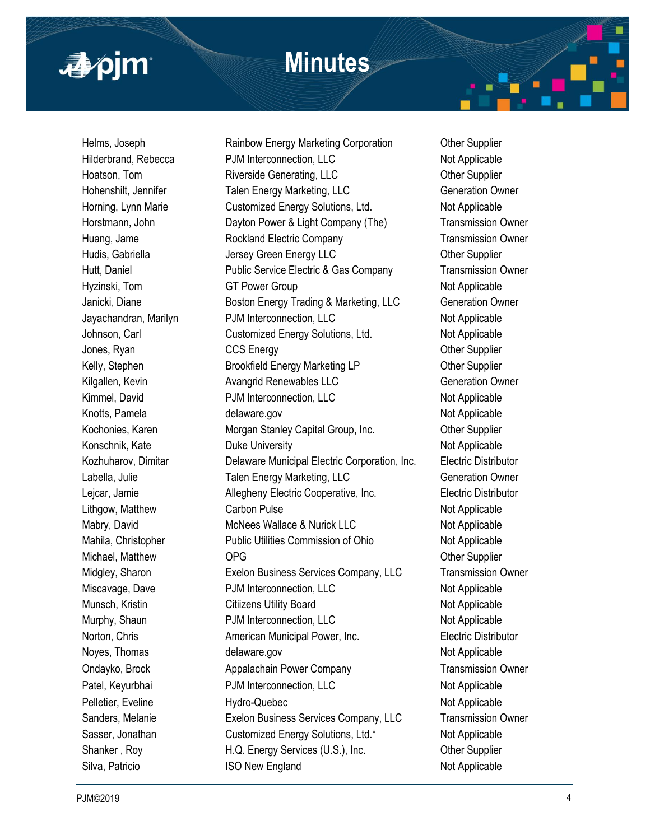

Helms, Joseph Rainbow Energy Marketing Corporation Other Supplier Hilderbrand, Rebecca **PJM** Interconnection, LLC Not Applicable Hoatson, Tom **Riverside Generating, LLC** Cher Supplier Hohenshilt, Jennifer Talen Energy Marketing, LLC Generation Owner Horning, Lynn Marie Customized Energy Solutions, Ltd. Not Applicable Horstmann, John Dayton Power & Light Company (The) Transmission Owner Huang, Jame **Rockland Electric Company Transmission Owner** Hudis, Gabriella **Frankling Communist Communist Communist Communist Communist Communist Communist Communist Communist Communist Communist Communist Communist Communist Communist Communist Communist Communist Communist Comm** Hutt, Daniel Public Service Electric & Gas Company Transmission Owner Hyzinski, Tom GT Power Group COM COME Not Applicable Janicki, Diane **Boston Energy Trading & Marketing, LLC** Generation Owner Jayachandran, Marilyn PJM Interconnection, LLC Not Applicable Johnson, Carl Customized Energy Solutions, Ltd. Not Applicable Jones, Ryan CCS Energy CCS Energy Context COMEN COMENCIES CONSUMING THE Supplier Kelly, Stephen **Brookfield Energy Marketing LP** Other Supplier Kilgallen, Kevin **Avangrid Renewables LLC** Generation Owner Kimmel, David **PJM** Interconnection, LLC Not Applicable Knotts, Pamela **delaware.gov** Not Applicable Kochonies, Karen **Morgan Stanley Capital Group, Inc.** Other Supplier Konschnik, Kate **Notel Constanting Constanting Duke University** Not Applicable Not Applicable Kozhuharov, Dimitar Delaware Municipal Electric Corporation, Inc. Electric Distributor Labella, Julie **Talen Energy Marketing, LLC** Generation Owner Lejcar, Jamie Allegheny Electric Cooperative, Inc. Electric Distributor Lithgow, Matthew **Carbon Pulse** Carbon Pulse Not Applicable Mabry, David **Mabry, David** McNees Wallace & Nurick LLC Not Applicable Mahila, Christopher **Public Utilities Commission of Ohio** Not Applicable Michael, Matthew **OPG** OPG Other Supplier Midgley, Sharon Exelon Business Services Company, LLC Transmission Owner Miscavage, Dave **PJM Interconnection, LLC** Not Applicable Munsch, Kristin **Not Applicable** Citiizens Utility Board **Not Applicable** Murphy, Shaun **PJM Interconnection, LLC** Not Applicable Norton, Chris **American Municipal Power, Inc.** Electric Distributor Noyes, Thomas **Example 20** delaware.gov **Not Applicable** Not Applicable Ondayko, Brock Appalachain Power Company Transmission Owner Patel, Keyurbhai **PJM Interconnection, LLC** Not Applicable Pelletier, Eveline **Not Applicable** Hydro-Quebec Not Applicable Not Applicable Sanders, Melanie Exelon Business Services Company, LLC Transmission Owner Sasser, Jonathan Customized Energy Solutions, Ltd.\* Not Applicable Shanker, Roy **H.Q. Energy Services (U.S.), Inc.** Other Supplier Silva, Patricio **ISO New England** Not Applicable